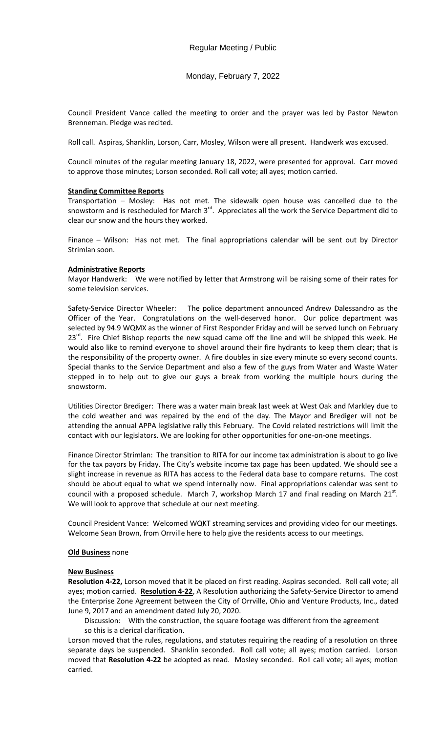Monday, February 7, 2022

Council President Vance called the meeting to order and the prayer was led by Pastor Newton Brenneman. Pledge was recited.

Roll call. Aspiras, Shanklin, Lorson, Carr, Mosley, Wilson were all present. Handwerk was excused.

Council minutes of the regular meeting January 18, 2022, were presented for approval. Carr moved to approve those minutes; Lorson seconded. Roll call vote; all ayes; motion carried.

# **Standing Committee Reports**

Transportation – Mosley: Has not met. The sidewalk open house was cancelled due to the snowstorm and is rescheduled for March 3<sup>rd</sup>. Appreciates all the work the Service Department did to clear our snow and the hours they worked.

Finance – Wilson: Has not met. The final appropriations calendar will be sent out by Director Strimlan soon.

# **Administrative Reports**

Mayor Handwerk: We were notified by letter that Armstrong will be raising some of their rates for some television services.

Safety-Service Director Wheeler: The police department announced Andrew Dalessandro as the Officer of the Year. Congratulations on the well-deserved honor. Our police department was selected by 94.9 WQMX as the winner of First Responder Friday and will be served lunch on February  $23<sup>rd</sup>$ . Fire Chief Bishop reports the new squad came off the line and will be shipped this week. He would also like to remind everyone to shovel around their fire hydrants to keep them clear; that is the responsibility of the property owner. A fire doubles in size every minute so every second counts. Special thanks to the Service Department and also a few of the guys from Water and Waste Water stepped in to help out to give our guys a break from working the multiple hours during the snowstorm.

Utilities Director Brediger: There was a water main break last week at West Oak and Markley due to the cold weather and was repaired by the end of the day. The Mayor and Brediger will not be attending the annual APPA legislative rally this February. The Covid related restrictions will limit the contact with our legislators. We are looking for other opportunities for one-on-one meetings.

Finance Director Strimlan: The transition to RITA for our income tax administration is about to go live for the tax payors by Friday. The City's website income tax page has been updated. We should see a slight increase in revenue as RITA has access to the Federal data base to compare returns. The cost should be about equal to what we spend internally now. Final appropriations calendar was sent to council with a proposed schedule. March 7, workshop March 17 and final reading on March  $21^{st}$ . We will look to approve that schedule at our next meeting.

Council President Vance: Welcomed WQKT streaming services and providing video for our meetings. Welcome Sean Brown, from Orrville here to help give the residents access to our meetings.

# **Old Business** none

# **New Business**

**Resolution 4-22,** Lorson moved that it be placed on first reading. Aspiras seconded. Roll call vote; all ayes; motion carried. **Resolution 4-22**, A Resolution authorizing the Safety-Service Director to amend the Enterprise Zone Agreement between the City of Orrville, Ohio and Venture Products, Inc., dated June 9, 2017 and an amendment dated July 20, 2020.

Discussion: With the construction, the square footage was different from the agreement so this is a clerical clarification.

Lorson moved that the rules, regulations, and statutes requiring the reading of a resolution on three separate days be suspended. Shanklin seconded. Roll call vote; all ayes; motion carried. Lorson moved that **Resolution 4-22** be adopted as read. Mosley seconded. Roll call vote; all ayes; motion carried.